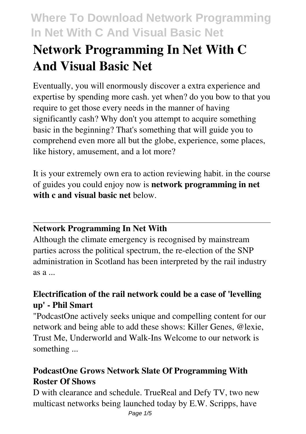# **Network Programming In Net With C And Visual Basic Net**

Eventually, you will enormously discover a extra experience and expertise by spending more cash. yet when? do you bow to that you require to get those every needs in the manner of having significantly cash? Why don't you attempt to acquire something basic in the beginning? That's something that will guide you to comprehend even more all but the globe, experience, some places, like history, amusement, and a lot more?

It is your extremely own era to action reviewing habit. in the course of guides you could enjoy now is **network programming in net with c and visual basic net** below.

#### **Network Programming In Net With**

Although the climate emergency is recognised by mainstream parties across the political spectrum, the re-election of the SNP administration in Scotland has been interpreted by the rail industry as a ...

#### **Electrification of the rail network could be a case of 'levelling up' - Phil Smart**

"PodcastOne actively seeks unique and compelling content for our network and being able to add these shows: Killer Genes, @lexie, Trust Me, Underworld and Walk-Ins Welcome to our network is something ...

#### **PodcastOne Grows Network Slate Of Programming With Roster Of Shows**

D with clearance and schedule. TrueReal and Defy TV, two new multicast networks being launched today by E.W. Scripps, have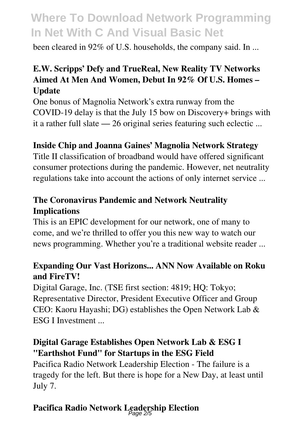been cleared in 92% of U.S. households, the company said. In ...

#### **E.W. Scripps' Defy and TrueReal, New Reality TV Networks Aimed At Men And Women, Debut In 92% Of U.S. Homes – Update**

One bonus of Magnolia Network's extra runway from the COVID-19 delay is that the July 15 bow on Discovery+ brings with it a rather full slate — 26 original series featuring such eclectic ...

#### **Inside Chip and Joanna Gaines' Magnolia Network Strategy**

Title II classification of broadband would have offered significant consumer protections during the pandemic. However, net neutrality regulations take into account the actions of only internet service ...

#### **The Coronavirus Pandemic and Network Neutrality Implications**

This is an EPIC development for our network, one of many to come, and we're thrilled to offer you this new way to watch our news programming. Whether you're a traditional website reader ...

#### **Expanding Our Vast Horizons... ANN Now Available on Roku and FireTV!**

Digital Garage, Inc. (TSE first section: 4819; HQ: Tokyo; Representative Director, President Executive Officer and Group CEO: Kaoru Hayashi; DG) establishes the Open Network Lab & ESG I Investment

#### **Digital Garage Establishes Open Network Lab & ESG I "Earthshot Fund" for Startups in the ESG Field**

Pacifica Radio Network Leadership Election - The failure is a tragedy for the left. But there is hope for a New Day, at least until July 7.

### **Pacifica Radio Network Leadership Election** Page 2/5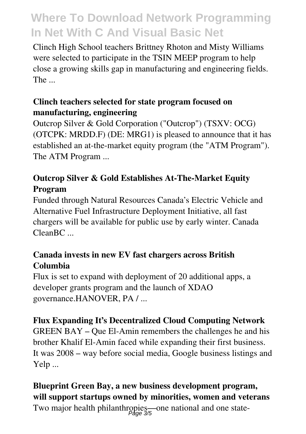Clinch High School teachers Brittney Rhoton and Misty Williams were selected to participate in the TSIN MEEP program to help close a growing skills gap in manufacturing and engineering fields. The ...

#### **Clinch teachers selected for state program focused on manufacturing, engineering**

Outcrop Silver & Gold Corporation ("Outcrop") (TSXV: OCG) (OTCPK: MRDD.F) (DE: MRG1) is pleased to announce that it has established an at-the-market equity program (the "ATM Program"). The ATM Program ...

#### **Outcrop Silver & Gold Establishes At-The-Market Equity Program**

Funded through Natural Resources Canada's Electric Vehicle and Alternative Fuel Infrastructure Deployment Initiative, all fast chargers will be available for public use by early winter. Canada Clean<sub>BC</sub>

#### **Canada invests in new EV fast chargers across British Columbia**

Flux is set to expand with deployment of 20 additional apps, a developer grants program and the launch of XDAO governance.HANOVER, PA / ...

#### **Flux Expanding It's Decentralized Cloud Computing Network**

GREEN BAY – Que El-Amin remembers the challenges he and his brother Khalif El-Amin faced while expanding their first business. It was 2008 – way before social media, Google business listings and Yelp ...

### **Blueprint Green Bay, a new business development program, will support startups owned by minorities, women and veterans**

Two major health philanthropies—one national and one state-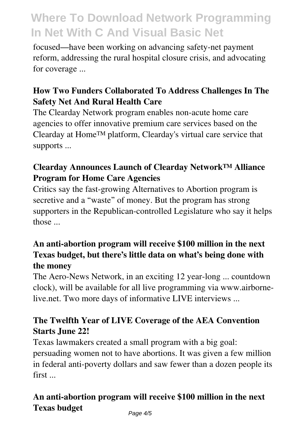focused—have been working on advancing safety-net payment reform, addressing the rural hospital closure crisis, and advocating for coverage ...

#### **How Two Funders Collaborated To Address Challenges In The Safety Net And Rural Health Care**

The Clearday Network program enables non-acute home care agencies to offer innovative premium care services based on the Clearday at Home™ platform, Clearday's virtual care service that supports ...

#### **Clearday Announces Launch of Clearday Network™ Alliance Program for Home Care Agencies**

Critics say the fast-growing Alternatives to Abortion program is secretive and a "waste" of money. But the program has strong supporters in the Republican-controlled Legislature who say it helps those ...

#### **An anti-abortion program will receive \$100 million in the next Texas budget, but there's little data on what's being done with the money**

The Aero-News Network, in an exciting 12 year-long ... countdown clock), will be available for all live programming via www.airbornelive.net. Two more days of informative LIVE interviews ...

#### **The Twelfth Year of LIVE Coverage of the AEA Convention Starts June 22!**

Texas lawmakers created a small program with a big goal: persuading women not to have abortions. It was given a few million in federal anti-poverty dollars and saw fewer than a dozen people its first ...

#### **An anti-abortion program will receive \$100 million in the next Texas budget**